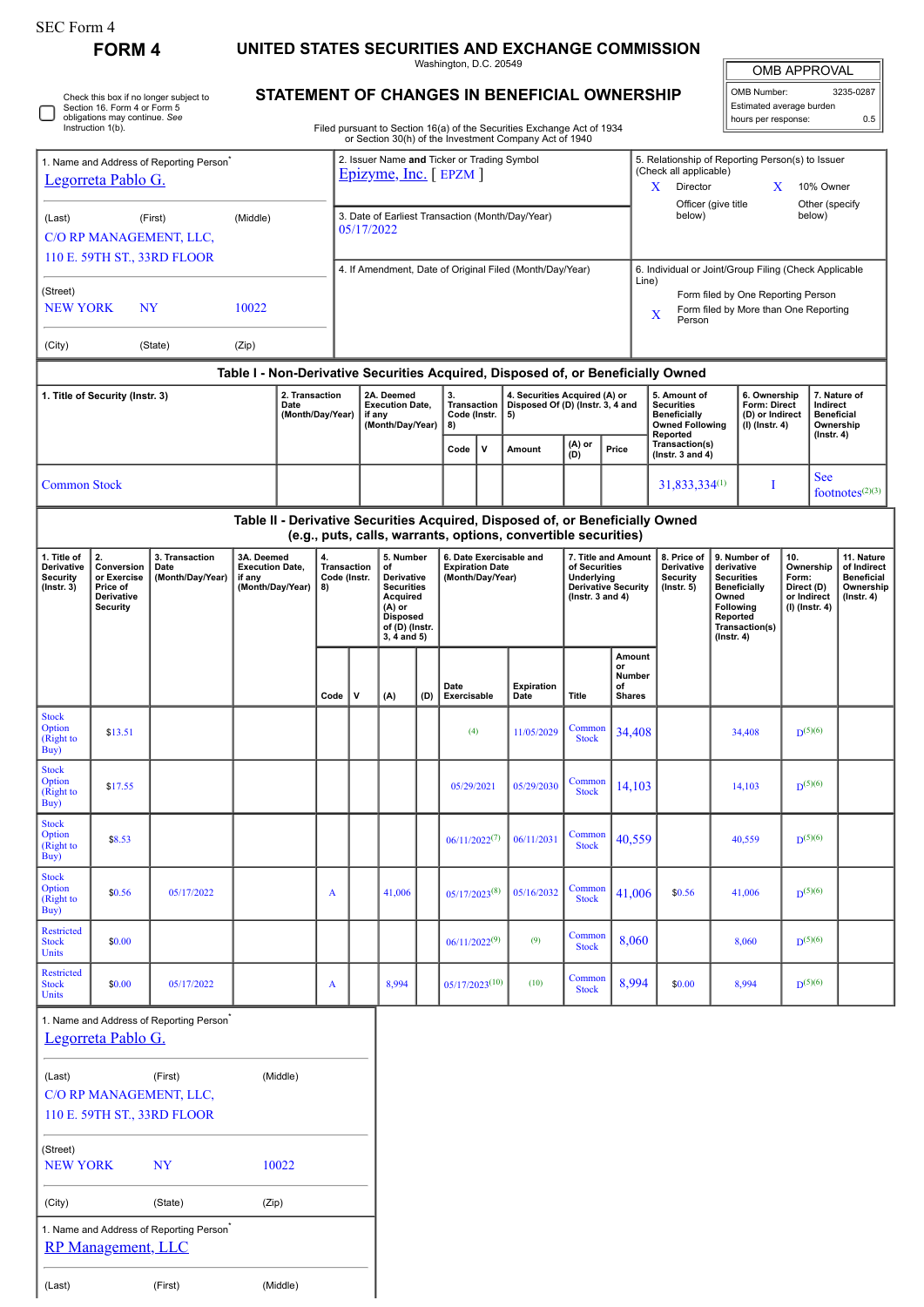| SEC Form 4                                                                 |                                                                                     |                                                      |                                                                            |                                                     |                                                                                                                                  |                                                                               |                                                                                                                                 |  |                                            |                                                            |                                                                                                                              |                                                                            |                                                 |                                                                                  |                                                                              |                                                                                                                                                |                                                 |                                                                            |                               |                                                                                 |  |
|----------------------------------------------------------------------------|-------------------------------------------------------------------------------------|------------------------------------------------------|----------------------------------------------------------------------------|-----------------------------------------------------|----------------------------------------------------------------------------------------------------------------------------------|-------------------------------------------------------------------------------|---------------------------------------------------------------------------------------------------------------------------------|--|--------------------------------------------|------------------------------------------------------------|------------------------------------------------------------------------------------------------------------------------------|----------------------------------------------------------------------------|-------------------------------------------------|----------------------------------------------------------------------------------|------------------------------------------------------------------------------|------------------------------------------------------------------------------------------------------------------------------------------------|-------------------------------------------------|----------------------------------------------------------------------------|-------------------------------|---------------------------------------------------------------------------------|--|
| <b>FORM 4</b>                                                              |                                                                                     |                                                      | UNITED STATES SECURITIES AND EXCHANGE COMMISSION<br>Washington, D.C. 20549 |                                                     |                                                                                                                                  |                                                                               |                                                                                                                                 |  |                                            |                                                            |                                                                                                                              |                                                                            |                                                 |                                                                                  |                                                                              | <b>OMB APPROVAL</b>                                                                                                                            |                                                 |                                                                            |                               |                                                                                 |  |
| Check this box if no longer subject to<br>Section 16. Form 4 or Form 5     |                                                                                     |                                                      |                                                                            | <b>STATEMENT OF CHANGES IN BENEFICIAL OWNERSHIP</b> |                                                                                                                                  |                                                                               |                                                                                                                                 |  |                                            |                                                            |                                                                                                                              |                                                                            |                                                 | OMB Number:                                                                      |                                                                              |                                                                                                                                                | 3235-0287<br>Estimated average burden           |                                                                            |                               |                                                                                 |  |
| obligations may continue. See<br>Instruction 1(b).                         |                                                                                     |                                                      |                                                                            |                                                     | Filed pursuant to Section 16(a) of the Securities Exchange Act of 1934<br>or Section 30(h) of the Investment Company Act of 1940 |                                                                               |                                                                                                                                 |  |                                            |                                                            |                                                                                                                              |                                                                            | hours per response:<br>0.5                      |                                                                                  |                                                                              |                                                                                                                                                |                                                 |                                                                            |                               |                                                                                 |  |
| 1. Name and Address of Reporting Person <sup>®</sup><br>Legorreta Pablo G. |                                                                                     |                                                      |                                                                            |                                                     | 2. Issuer Name and Ticker or Trading Symbol<br>$Epizyme, Inc.$ [ $EPZM$ ]                                                        |                                                                               |                                                                                                                                 |  |                                            |                                                            |                                                                                                                              | 5. Relationship of Reporting Person(s) to Issuer<br>(Check all applicable) |                                                 |                                                                                  |                                                                              |                                                                                                                                                |                                                 |                                                                            |                               |                                                                                 |  |
|                                                                            |                                                                                     |                                                      |                                                                            |                                                     |                                                                                                                                  |                                                                               |                                                                                                                                 |  |                                            |                                                            |                                                                                                                              |                                                                            | Director<br>X.<br>Officer (give title<br>below) |                                                                                  |                                                                              | 10% Owner<br>X<br>Other (specify<br>below)                                                                                                     |                                                 |                                                                            |                               |                                                                                 |  |
| (Last)<br>(First)<br>C/O RP MANAGEMENT, LLC,                               |                                                                                     |                                                      | (Middle)                                                                   |                                                     |                                                                                                                                  | 3. Date of Earliest Transaction (Month/Day/Year)<br>05/17/2022                |                                                                                                                                 |  |                                            |                                                            |                                                                                                                              |                                                                            |                                                 |                                                                                  |                                                                              |                                                                                                                                                |                                                 |                                                                            |                               |                                                                                 |  |
| 110 E. 59TH ST., 33RD FLOOR                                                |                                                                                     |                                                      |                                                                            |                                                     |                                                                                                                                  | 4. If Amendment, Date of Original Filed (Month/Day/Year)                      |                                                                                                                                 |  |                                            |                                                            |                                                                                                                              |                                                                            |                                                 |                                                                                  | 6. Individual or Joint/Group Filing (Check Applicable<br>Line)               |                                                                                                                                                |                                                 |                                                                            |                               |                                                                                 |  |
| (Street)<br><b>NEW YORK</b><br><b>NY</b>                                   |                                                                                     |                                                      | 10022                                                                      |                                                     |                                                                                                                                  |                                                                               |                                                                                                                                 |  |                                            |                                                            |                                                                                                                              |                                                                            |                                                 | Form filed by One Reporting Person<br>Form filed by More than One Reporting<br>x |                                                                              |                                                                                                                                                |                                                 |                                                                            |                               |                                                                                 |  |
| (City)<br>(State)                                                          |                                                                                     |                                                      | (Zip)                                                                      |                                                     |                                                                                                                                  |                                                                               |                                                                                                                                 |  |                                            |                                                            |                                                                                                                              |                                                                            |                                                 | Person                                                                           |                                                                              |                                                                                                                                                |                                                 |                                                                            |                               |                                                                                 |  |
|                                                                            |                                                                                     |                                                      |                                                                            |                                                     |                                                                                                                                  |                                                                               |                                                                                                                                 |  |                                            |                                                            | Table I - Non-Derivative Securities Acquired, Disposed of, or Beneficially Owned                                             |                                                                            |                                                 |                                                                                  |                                                                              |                                                                                                                                                |                                                 |                                                                            |                               |                                                                                 |  |
|                                                                            | 1. Title of Security (Instr. 3)                                                     |                                                      | 2. Transaction<br>Date<br>(Month/Day/Year)                                 |                                                     |                                                                                                                                  |                                                                               | 2A. Deemed<br><b>Execution Date,</b><br>if any                                                                                  |  | 3.<br>Transaction<br>Code (Instr.          |                                                            | 4. Securities Acquired (A) or<br>Disposed Of (D) (Instr. 3, 4 and<br>5)                                                      |                                                                            |                                                 | 5. Amount of<br><b>Securities</b><br><b>Beneficially</b>                         |                                                                              |                                                                                                                                                | 6. Ownership<br>Form: Direct<br>(D) or Indirect |                                                                            | Indirect<br><b>Beneficial</b> | 7. Nature of                                                                    |  |
|                                                                            |                                                                                     |                                                      |                                                                            |                                                     |                                                                                                                                  |                                                                               | (Month/Day/Year)                                                                                                                |  | 8)<br>$\mathbf{v}$<br>Code                 |                                                            | Amount                                                                                                                       | (A) or<br>Price<br>(D)                                                     |                                                 |                                                                                  | <b>Owned Following</b><br>Reported<br>Transaction(s)<br>( $lnstr. 3 and 4$ ) |                                                                                                                                                | (I) (Instr. 4)                                  |                                                                            | Ownership<br>$($ Instr. 4 $)$ |                                                                                 |  |
| <b>Common Stock</b>                                                        |                                                                                     |                                                      |                                                                            |                                                     |                                                                                                                                  |                                                                               |                                                                                                                                 |  |                                            |                                                            |                                                                                                                              |                                                                            |                                                 |                                                                                  | 31,833,334 <sup>(1)</sup>                                                    | Т                                                                                                                                              |                                                 | <b>See</b>                                                                 |                               |                                                                                 |  |
|                                                                            |                                                                                     |                                                      |                                                                            |                                                     |                                                                                                                                  | Table II - Derivative Securities Acquired, Disposed of, or Beneficially Owned |                                                                                                                                 |  |                                            |                                                            |                                                                                                                              |                                                                            |                                                 |                                                                                  |                                                                              |                                                                                                                                                | footnotes $(2)(3)$                              |                                                                            |                               |                                                                                 |  |
|                                                                            |                                                                                     |                                                      |                                                                            |                                                     |                                                                                                                                  |                                                                               |                                                                                                                                 |  |                                            |                                                            | (e.g., puts, calls, warrants, options, convertible securities)                                                               |                                                                            |                                                 |                                                                                  |                                                                              |                                                                                                                                                |                                                 |                                                                            |                               |                                                                                 |  |
| 1. Title of<br><b>Derivative</b><br><b>Security</b><br>$($ Instr. 3 $)$    | 2.<br>Conversion<br>or Exercise<br>Price of<br><b>Derivative</b><br><b>Security</b> | 3. Transaction<br>Date<br>(Month/Day/Year)           | 3A. Deemed<br><b>Execution Date,</b><br>if any<br>(Month/Day/Year)         |                                                     | 4.<br><b>Transaction</b><br>Code (Instr.<br>8)                                                                                   |                                                                               | 5. Number<br>of<br>Derivative<br><b>Securities</b><br>Acquired<br>(A) or<br><b>Disposed</b><br>of (D) (Instr.<br>$3.4$ and $5)$ |  | <b>Expiration Date</b><br>(Month/Day/Year) |                                                            | 6. Date Exercisable and<br>7. Title and Amount<br>of Securities<br>Underlying<br>Derivative Security<br>( $lnstr. 3 and 4$ ) |                                                                            |                                                 | 8. Price of<br>Derivative<br>Security<br>$($ Instr. 5 $)$                        |                                                                              | 9. Number of<br>derivative<br><b>Securities</b><br><b>Beneficially</b><br>Owned<br>Following<br>Reported<br>Transaction(s)<br>$($ Instr. 4 $)$ |                                                 | 10.<br>Ownership<br>Form:<br>Direct (D)<br>or Indirect<br>$(I)$ (Instr. 4) |                               | 11. Nature<br>of Indirect<br><b>Beneficial</b><br>Ownership<br>$($ Instr. 4 $)$ |  |
|                                                                            |                                                                                     |                                                      |                                                                            |                                                     | Code                                                                                                                             | $\mathsf{v}$                                                                  | (A)                                                                                                                             |  | Date<br>(D) Exercisable                    |                                                            | Expiration<br>Date                                                                                                           | <b>Title</b>                                                               | or<br>of                                        | Amount<br>Number<br><b>Shares</b>                                                |                                                                              |                                                                                                                                                |                                                 |                                                                            |                               |                                                                                 |  |
| <b>Stock</b><br>Option<br>(Right to<br>Buy)                                | \$13.51                                                                             |                                                      |                                                                            |                                                     |                                                                                                                                  |                                                                               |                                                                                                                                 |  | (4)                                        |                                                            | 11/05/2029                                                                                                                   | Common<br><b>Stock</b>                                                     |                                                 | 34,408                                                                           |                                                                              |                                                                                                                                                | 34,408                                          |                                                                            | $D^{(5)(6)}$                  |                                                                                 |  |
| <b>Stock</b><br>Option<br>(Right to<br>Buy)                                | \$17.55                                                                             |                                                      |                                                                            |                                                     |                                                                                                                                  |                                                                               |                                                                                                                                 |  | 05/29/2021<br>05/29/2030                   |                                                            | Common<br>14,103<br><b>Stock</b>                                                                                             |                                                                            |                                                 |                                                                                  | 14,103                                                                       |                                                                                                                                                | $D^{(5)(6)}$                                    |                                                                            |                               |                                                                                 |  |
| <b>Stock</b><br>Option<br>(Right to<br>Buy)                                | \$8.53                                                                              |                                                      |                                                                            |                                                     |                                                                                                                                  |                                                                               |                                                                                                                                 |  |                                            | $06/11/2022^{(7)}$<br>06/11/2031                           |                                                                                                                              | <b>Stock</b>                                                               | Common<br>40,559                                |                                                                                  |                                                                              |                                                                                                                                                | $D^{(5)(6)}$<br>40,559                          |                                                                            |                               |                                                                                 |  |
| <b>Stock</b><br>Option<br>(Right to<br>Buy)                                | \$0.56                                                                              | 05/17/2022                                           |                                                                            |                                                     | A                                                                                                                                |                                                                               | 41,006                                                                                                                          |  |                                            | Common<br>$05/17/2023^{(8)}$<br>05/16/2032<br><b>Stock</b> |                                                                                                                              |                                                                            | 41,006                                          | \$0.56                                                                           |                                                                              | 41,006                                                                                                                                         |                                                 | $D^{(5)(6)}$                                                               |                               |                                                                                 |  |
| Restricted<br><b>Stock</b><br>Units                                        | \$0.00                                                                              |                                                      |                                                                            |                                                     |                                                                                                                                  |                                                                               |                                                                                                                                 |  | (9)<br>$06/11/2022^{(9)}$                  |                                                            | Common<br>8,060<br><b>Stock</b>                                                                                              |                                                                            |                                                 |                                                                                  | $D^{(5)(6)}$<br>8,060                                                        |                                                                                                                                                |                                                 |                                                                            |                               |                                                                                 |  |
| Restricted<br><b>Stock</b><br>Units                                        | \$0.00                                                                              | 05/17/2022                                           |                                                                            |                                                     | A                                                                                                                                |                                                                               | 8,994                                                                                                                           |  | $05/17/2023^{(10)}$                        |                                                            | (10)                                                                                                                         | Common<br><b>Stock</b>                                                     |                                                 | 8,994                                                                            | \$0.00                                                                       |                                                                                                                                                | 8,994                                           |                                                                            | $D^{(5)(6)}$                  |                                                                                 |  |
|                                                                            | Legorreta Pablo G.                                                                  | 1. Name and Address of Reporting Person <sup>®</sup> |                                                                            |                                                     |                                                                                                                                  |                                                                               |                                                                                                                                 |  |                                            |                                                            |                                                                                                                              |                                                                            |                                                 |                                                                                  |                                                                              |                                                                                                                                                |                                                 |                                                                            |                               |                                                                                 |  |
| (First)<br>(Middle)<br>(Last)                                              |                                                                                     |                                                      |                                                                            |                                                     |                                                                                                                                  |                                                                               |                                                                                                                                 |  |                                            |                                                            |                                                                                                                              |                                                                            |                                                 |                                                                                  |                                                                              |                                                                                                                                                |                                                 |                                                                            |                               |                                                                                 |  |
| C/O RP MANAGEMENT, LLC,<br>110 E. 59TH ST., 33RD FLOOR                     |                                                                                     |                                                      |                                                                            |                                                     |                                                                                                                                  |                                                                               |                                                                                                                                 |  |                                            |                                                            |                                                                                                                              |                                                                            |                                                 |                                                                                  |                                                                              |                                                                                                                                                |                                                 |                                                                            |                               |                                                                                 |  |
| (Street)<br><b>NEW YORK</b><br><b>NY</b>                                   |                                                                                     |                                                      | 10022                                                                      |                                                     |                                                                                                                                  |                                                                               |                                                                                                                                 |  |                                            |                                                            |                                                                                                                              |                                                                            |                                                 |                                                                                  |                                                                              |                                                                                                                                                |                                                 |                                                                            |                               |                                                                                 |  |
| (State)<br>(City)                                                          |                                                                                     |                                                      | (Zip)                                                                      |                                                     |                                                                                                                                  |                                                                               |                                                                                                                                 |  |                                            |                                                            |                                                                                                                              |                                                                            |                                                 |                                                                                  |                                                                              |                                                                                                                                                |                                                 |                                                                            |                               |                                                                                 |  |
|                                                                            | <b>RP Management, LLC</b>                                                           | 1. Name and Address of Reporting Person <sup>®</sup> |                                                                            |                                                     |                                                                                                                                  |                                                                               |                                                                                                                                 |  |                                            |                                                            |                                                                                                                              |                                                                            |                                                 |                                                                                  |                                                                              |                                                                                                                                                |                                                 |                                                                            |                               |                                                                                 |  |
| (First)<br>(Last)                                                          |                                                                                     |                                                      | (Middle)                                                                   |                                                     |                                                                                                                                  |                                                                               |                                                                                                                                 |  |                                            |                                                            |                                                                                                                              |                                                                            |                                                 |                                                                                  |                                                                              |                                                                                                                                                |                                                 |                                                                            |                               |                                                                                 |  |